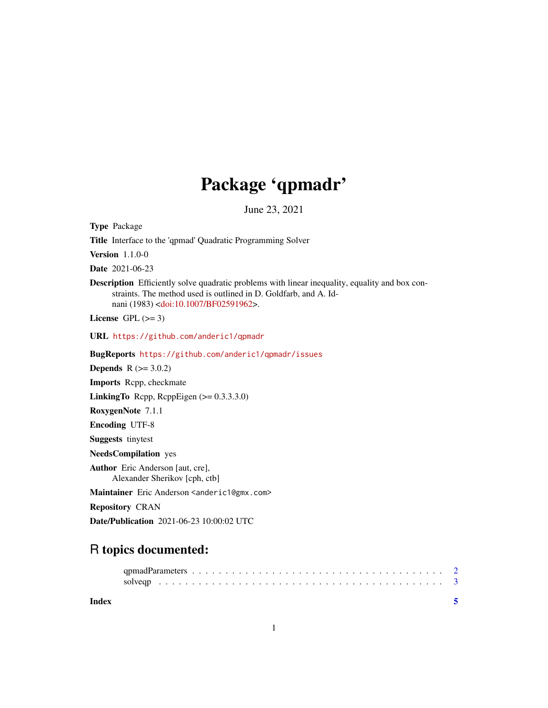## Package 'qpmadr'

June 23, 2021

Type Package Title Interface to the 'qpmad' Quadratic Programming Solver Version 1.1.0-0 Date 2021-06-23 Description Efficiently solve quadratic problems with linear inequality, equality and box constraints. The method used is outlined in D. Goldfarb, and A. Idnani (1983) [<doi:10.1007/BF02591962>](https://doi.org/10.1007/BF02591962). License GPL  $(>= 3)$ URL <https://github.com/anderic1/qpmadr> BugReports <https://github.com/anderic1/qpmadr/issues> **Depends**  $R$  ( $>= 3.0.2$ ) Imports Rcpp, checkmate LinkingTo Rcpp, RcppEigen (>= 0.3.3.3.0) RoxygenNote 7.1.1 Encoding UTF-8 Suggests tinytest NeedsCompilation yes Author Eric Anderson [aut, cre], Alexander Sherikov [cph, ctb] Maintainer Eric Anderson <anderic1@gmx.com> Repository CRAN Date/Publication 2021-06-23 10:00:02 UTC

## R topics documented:

**Index** [5](#page-4-0). The second state of the second state of the second state of the second state of the second state of the second state of the second state of the second state of the second state of the second state of the second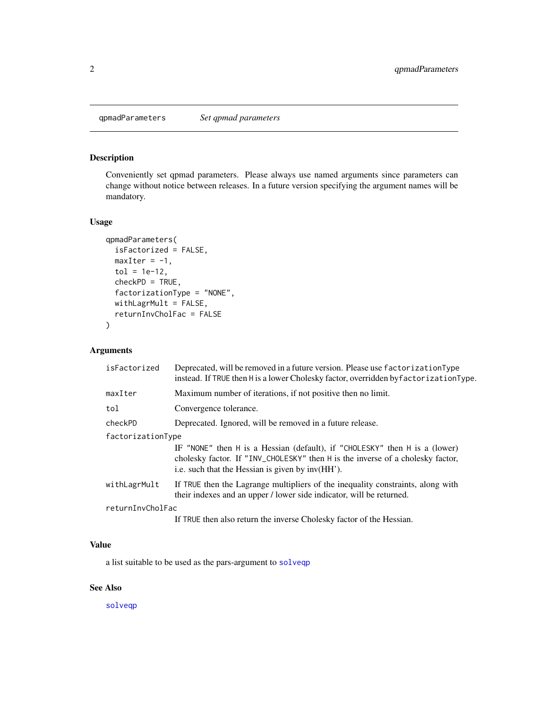<span id="page-1-1"></span><span id="page-1-0"></span>qpmadParameters *Set qpmad parameters*

#### Description

Conveniently set qpmad parameters. Please always use named arguments since parameters can change without notice between releases. In a future version specifying the argument names will be mandatory.

#### Usage

```
qpmadParameters(
  isFactorized = FALSE,
 maxIter = -1,tol = 1e-12,
  checkPD = TRUE,
  factorizationType = "NONE",
 withLagrMult = FALSE,
  returnInvCholFac = FALSE
\mathcal{E}
```
#### Arguments

| isFactorized      | Deprecated, will be removed in a future version. Please use factorization Type<br>instead. If TRUE then H is a lower Cholesky factor, overridden by factorization Type.                                          |
|-------------------|------------------------------------------------------------------------------------------------------------------------------------------------------------------------------------------------------------------|
| maxIter           | Maximum number of iterations, if not positive then no limit.                                                                                                                                                     |
| tol               | Convergence tolerance.                                                                                                                                                                                           |
| checkPD           | Deprecated. Ignored, will be removed in a future release.                                                                                                                                                        |
| factorizationType |                                                                                                                                                                                                                  |
|                   | IF "NONE" then H is a Hessian (default), if "CHOLESKY" then H is a (lower)<br>cholesky factor. If "INV_CHOLESKY" then H is the inverse of a cholesky factor,<br>i.e. such that the Hessian is given by inv(HH'). |
| withLagrMult      | If TRUE then the Lagrange multipliers of the inequality constraints, along with<br>their indexes and an upper / lower side indicator, will be returned.                                                          |
| returnInvCholFac  |                                                                                                                                                                                                                  |
|                   | If TRUE then also return the inverse Cholesky factor of the Hessian.                                                                                                                                             |

#### Value

a list suitable to be used as the pars-argument to [solveqp](#page-2-1)

#### See Also

[solveqp](#page-2-1)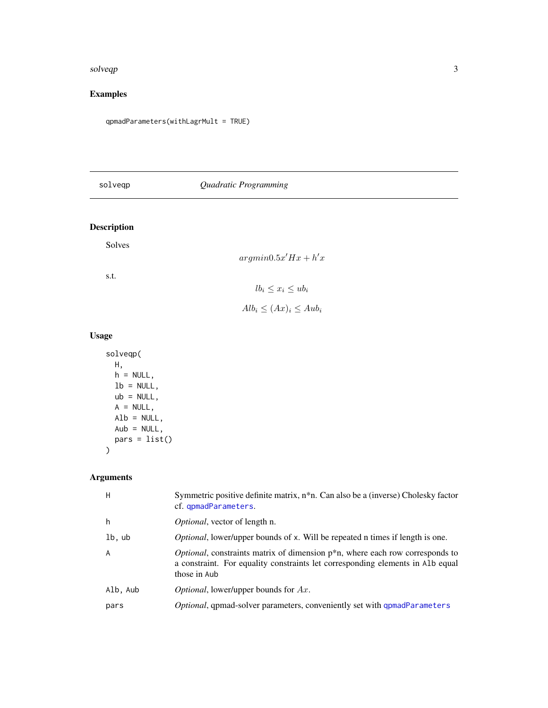#### <span id="page-2-0"></span>solveqp 3

#### Examples

qpmadParameters(withLagrMult = TRUE)

<span id="page-2-1"></span>

| solveqp |  |
|---------|--|
|---------|--|

#### solveqp *Quadratic Programming*

#### Description

Solves

| $argmin0.5x'Hx + h'x$ |  |  |  |
|-----------------------|--|--|--|
|-----------------------|--|--|--|

s.t.

### $lb_i \leq x_i \leq ub_i$

 $Alb_i \leq (Ax)_i \leq Aub_i$ 

#### Usage

```
solveqp(
 H,
 h = NULL,lb = NULL,ub = NULL,A = NULL,Alb = NULL,Aub = NULL,
 pars = list())
```
#### Arguments

| H        | Symmetric positive definite matrix, $n^*n$ . Can also be a (inverse) Cholesky factor<br>cf. qpmadParameters.                                                                               |
|----------|--------------------------------------------------------------------------------------------------------------------------------------------------------------------------------------------|
| h        | <i>Optional</i> , vector of length n.                                                                                                                                                      |
| lb, ub   | <i>Optional</i> , lower/upper bounds of x. Will be repeated n times if length is one.                                                                                                      |
| A        | <i>Optional</i> , constraints matrix of dimension $p^*n$ , where each row corresponds to<br>a constraint. For equality constraints let corresponding elements in Alb equal<br>those in Aub |
| Alb, Aub | <i>Optional</i> , lower/upper bounds for $Ax$ .                                                                                                                                            |
| pars     | Optional, qpmad-solver parameters, conveniently set with qpmadParameters                                                                                                                   |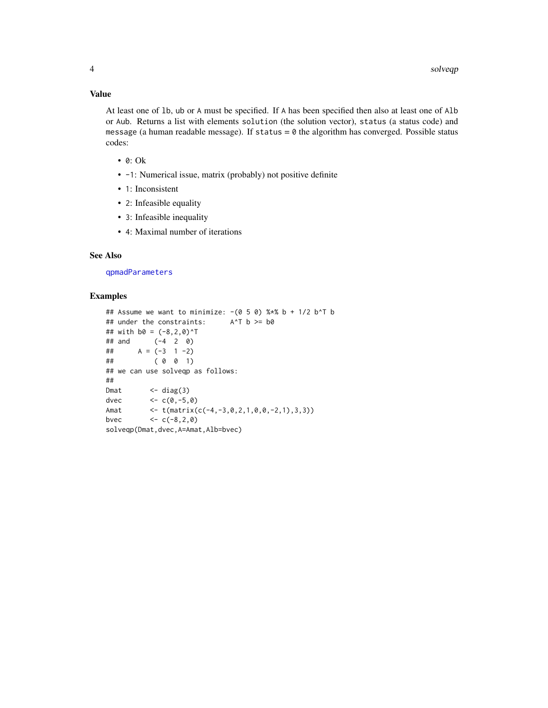#### <span id="page-3-0"></span>Value

At least one of lb, ub or A must be specified. If A has been specified then also at least one of Alb or Aub. Returns a list with elements solution (the solution vector), status (a status code) and message (a human readable message). If status  $= 0$  the algorithm has converged. Possible status codes:

- 0: Ok
- $-1$ : Numerical issue, matrix (probably) not positive definite
- 1: Inconsistent
- 2: Infeasible equality
- 3: Infeasible inequality
- 4: Maximal number of iterations

#### See Also

[qpmadParameters](#page-1-1)

#### Examples

```
## Assume we want to minimize: -(0\ 5\ 0)\ %*% b + 1/2\ b^T b<br>## under the constraints: A^T b \ge b0## under the constraints:
## with b0 = (-8, 2, 0)^T## and (-4 2 0)
\# \# A = (-3 1 -2)
## ( 0 0 1)
## we can use solveqp as follows:
##
Dmat \leftarrow diag(3)
dvec <-c(0,-5,0)Amat <- t(matrix(c(-4,-3,0,2,1,0,0,-2,1),3,3))
bvec <-c(-8, 2, 0)solveqp(Dmat,dvec,A=Amat,Alb=bvec)
```